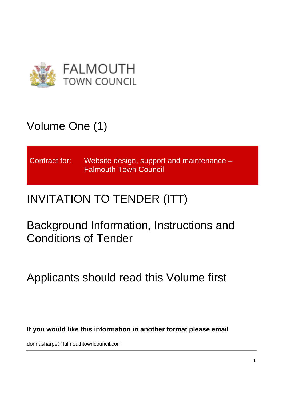

# Volume One (1)

Contract for: Website design, support and maintenance – Falmouth Town Council

# INVITATION TO TENDER (ITT)

Background Information, Instructions and Conditions of Tender

Applicants should read this Volume first

**If you would like this information in another format please email** 

donnasharpe@falmouthtowncouncil.com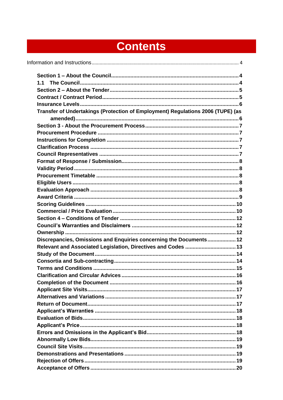# **Contents**

| Transfer of Undertakings (Protection of Employment) Regulations 2006 (TUPE) (as |  |
|---------------------------------------------------------------------------------|--|
|                                                                                 |  |
|                                                                                 |  |
|                                                                                 |  |
|                                                                                 |  |
|                                                                                 |  |
|                                                                                 |  |
|                                                                                 |  |
|                                                                                 |  |
|                                                                                 |  |
|                                                                                 |  |
|                                                                                 |  |
|                                                                                 |  |
|                                                                                 |  |
|                                                                                 |  |
|                                                                                 |  |
|                                                                                 |  |
|                                                                                 |  |
| Discrepancies, Omissions and Enquiries concerning the Documents 12              |  |
| Relevant and Associated Legislation, Directives and Codes  13                   |  |
|                                                                                 |  |
|                                                                                 |  |
|                                                                                 |  |
|                                                                                 |  |
|                                                                                 |  |
|                                                                                 |  |
|                                                                                 |  |
|                                                                                 |  |
|                                                                                 |  |
|                                                                                 |  |
|                                                                                 |  |
|                                                                                 |  |
|                                                                                 |  |
|                                                                                 |  |
|                                                                                 |  |
|                                                                                 |  |
|                                                                                 |  |
|                                                                                 |  |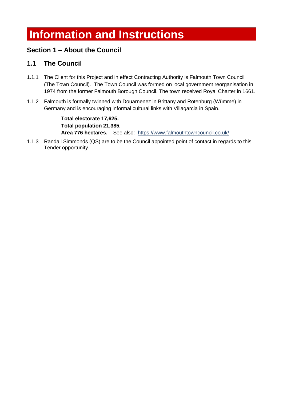# <span id="page-3-0"></span>**Information and Instructions**

# <span id="page-3-1"></span>**Section 1 – About the Council**

## <span id="page-3-2"></span>**1.1 The Council**

.

- 1.1.1 The Client for this Project and in effect Contracting Authority is Falmouth Town Council (The Town Council). The Town Council was formed on local government reorganisation in 1974 from the former Falmouth Borough Council. The town received Royal Charter in 1661.
- 1.1.2 Falmouth is formally twinned with Douarnenez in Brittany and Rotenburg (Wümme) in Germany and is encouraging informal cultural links with Villagarcia in Spain.

**Total electorate 17,625. Total population 21,385. Area 776 hectares.** See also: https://www.falmouthtowncouncil.co.uk/

1.1.3 Randall Simmonds (QS) are to be the Council appointed point of contact in regards to this Tender opportunity.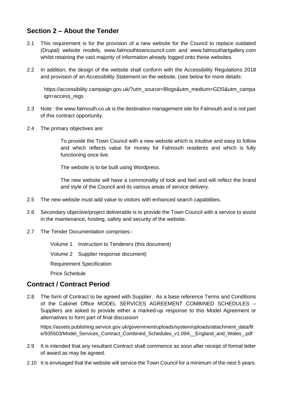## <span id="page-4-0"></span>**Section 2 – About the Tender**

- 2.1 This requirement is for the provision of a new website for the Council to replace outdated (Drupal) website models, www.falmouthtowncouncil.com and www.falmouthartgallery.com whilst retaining the vast majority of information already logged onto these websites.
- 2.2 In addition, the design of the website shall conform with the Accessibility Regulations 2018 and provision of an Accessibility Statement on the website, (see below for more details:

[https://accessibility.campaign.gov.uk/?utm\\_source=Blogs&utm\\_medium=GDS&utm\\_campa](https://accessibility.campaign.gov.uk/?utm_source=Blogs&utm_medium=GDS&utm_campaign=access_regs) [ign=access\\_regs](https://accessibility.campaign.gov.uk/?utm_source=Blogs&utm_medium=GDS&utm_campaign=access_regs)

- 2.3 Note : the www.falmouth.co.uk is the destination management site for Falmouth and is not part of this contract opportunity.
- 2.4 The primary objectives are:

To provide the Town Council with a new website which is intuitive and easy to follow and which reflects value for money for Falmouth residents and which is fully functioning once live.

The website is to be built using Wordpress.

The new website will have a commonality of look and feel and will reflect the brand and style of the Council and its various areas of service delivery.

- 2.5 The new website must add value to visitors with enhanced search capabilities.
- 2.6 Secondary objective/project deliverable is to provide the Town Council with a service to assist in the maintenance, hosting, safety and security of the website.
- 2.7 The Tender Documentation comprises:-

Volume 1 Instruction to Tenderers (this document)

Volume 2 Supplier response document)

Requirement Specification

Price Schedule

#### <span id="page-4-1"></span>**Contract / Contract Period**

2.8 The form of Contract to be agreed with Supplier. As a base reference Terms and Conditions of the Cabinet Office MODEL SERVICES AGREEMENT COMBINED SCHEDULES – Suppliers are asked to provide either a marked-up response to this Model Agreement or alternatives to form part of final discussion

[https://assets.publishing.service.gov.uk/government/uploads/system/uploads/attachment\\_data/fil](https://assets.publishing.service.gov.uk/government/uploads/system/uploads/attachment_data/file/935503/Model_Services_Contract_Combined_Schedules_v1.09A__England_and_Wales_.pdf) [e/935503/Model\\_Services\\_Contract\\_Combined\\_Schedules\\_v1.09A\\_\\_England\\_and\\_Wales\\_.pdf](https://assets.publishing.service.gov.uk/government/uploads/system/uploads/attachment_data/file/935503/Model_Services_Contract_Combined_Schedules_v1.09A__England_and_Wales_.pdf)

- 2.9 It is intended that any resultant Contract shall commence as soon after receipt of formal letter of award as may be agreed.
- 2.10 It is envisaged that the website will service the Town Council for a minimum of the next 5 years.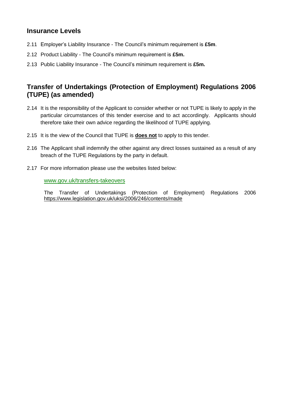## <span id="page-5-0"></span>**Insurance Levels**

- 2.11 Employer's Liability Insurance The Council's minimum requirement is **£5m**.
- 2.12 Product Liability The Council's minimum requirement is **£5m.**
- 2.13 Public Liability Insurance The Council's minimum requirement is **£5m.**

## <span id="page-5-1"></span>**Transfer of Undertakings (Protection of Employment) Regulations 2006 (TUPE) (as amended)**

- 2.14 It is the responsibility of the Applicant to consider whether or not TUPE is likely to apply in the particular circumstances of this tender exercise and to act accordingly. Applicants should therefore take their own advice regarding the likelihood of TUPE applying.
- 2.15 It is the view of the Council that TUPE is **does not** to apply to this tender.
- 2.16 The Applicant shall indemnify the other against any direct losses sustained as a result of any breach of the TUPE Regulations by the party in default.
- 2.17 For more information please use the websites listed below:

#### [www.gov.uk/transfers-takeovers](https://www.gov.uk/transfers-takeovers)

The Transfer of Undertakings (Protection of Employment) Regulations 2006 <https://www.legislation.gov.uk/uksi/2006/246/contents/made>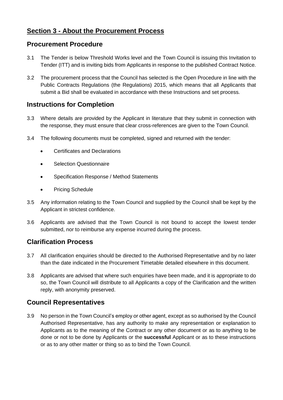# <span id="page-6-0"></span>**Section 3 - About the Procurement Process**

#### <span id="page-6-1"></span>**Procurement Procedure**

- 3.1 The Tender is below Threshold Works level and the Town Council is issuing this Invitation to Tender (ITT) and is inviting bids from Applicants in response to the published Contract Notice.
- 3.2 The procurement process that the Council has selected is the Open Procedure in line with the Public Contracts Regulations (the Regulations) 2015, which means that all Applicants that submit a Bid shall be evaluated in accordance with these Instructions and set process.

#### <span id="page-6-2"></span>**Instructions for Completion**

- 3.3 Where details are provided by the Applicant in literature that they submit in connection with the response, they must ensure that clear cross-references are given to the Town Council.
- 3.4 The following documents must be completed, signed and returned with the tender:
	- Certificates and Declarations
	- **Selection Questionnaire**
	- Specification Response / Method Statements
	- Pricing Schedule
- 3.5 Any information relating to the Town Council and supplied by the Council shall be kept by the Applicant in strictest confidence.
- 3.6 Applicants are advised that the Town Council is not bound to accept the lowest tender submitted, nor to reimburse any expense incurred during the process.

#### <span id="page-6-3"></span>**Clarification Process**

- 3.7 All clarification enquiries should be directed to the Authorised Representative and by no later than the date indicated in the Procurement Timetable detailed elsewhere in this document.
- 3.8 Applicants are advised that where such enquiries have been made, and it is appropriate to do so, the Town Council will distribute to all Applicants a copy of the Clarification and the written reply, with anonymity preserved.

#### <span id="page-6-4"></span>**Council Representatives**

3.9 No person in the Town Council's employ or other agent, except as so authorised by the Council Authorised Representative, has any authority to make any representation or explanation to Applicants as to the meaning of the Contract or any other document or as to anything to be done or not to be done by Applicants or the **successful** Applicant or as to these instructions or as to any other matter or thing so as to bind the Town Council.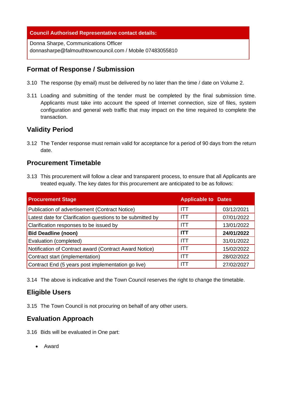#### **Council Authorised Representative contact details:**

Donna Sharpe, Communications Officer [donnasharpe@falmouthtowncouncil.com](mailto:donnasharpe@falmouthtowncouncil.com) / Mobile 07483055810

#### <span id="page-7-0"></span>**Format of Response / Submission**

- 3.10 The response (by email) must be delivered by no later than the time / date on Volume 2.
- 3.11 Loading and submitting of the tender must be completed by the final submission time. Applicants must take into account the speed of Internet connection, size of files, system configuration and general web traffic that may impact on the time required to complete the transaction.

#### <span id="page-7-1"></span>**Validity Period**

3.12 The Tender response must remain valid for acceptance for a period of 90 days from the return date.

#### <span id="page-7-2"></span>**Procurement Timetable**

3.13 This procurement will follow a clear and transparent process, to ensure that all Applicants are treated equally. The key dates for this procurement are anticipated to be as follows:

| <b>Procurement Stage</b>                                   | <b>Applicable to Dates</b> |            |
|------------------------------------------------------------|----------------------------|------------|
| Publication of advertisement (Contract Notice)             | ITT                        | 03/12/2021 |
| Latest date for Clarification questions to be submitted by | <b>ITT</b>                 | 07/01/2022 |
| Clarification responses to be issued by                    | ITT                        | 13/01/2022 |
| <b>Bid Deadline (noon)</b>                                 | <b>ITT</b>                 | 24/01/2022 |
| Evaluation (completed)                                     | <b>ITT</b>                 | 31/01/2022 |
| Notification of Contract award (Contract Award Notice)     | ITT                        | 15/02/2022 |
| Contract start (implementation)                            | ITT                        | 28/02/2022 |
| Contract End (5 years post implementation go live)         | ITT                        | 27/02/2027 |

3.14 The above is indicative and the Town Council reserves the right to change the timetable.

#### <span id="page-7-3"></span>**Eligible Users**

3.15 The Town Council is not procuring on behalf of any other users.

#### <span id="page-7-4"></span>**Evaluation Approach**

3.16 Bids will be evaluated in One part:

• Award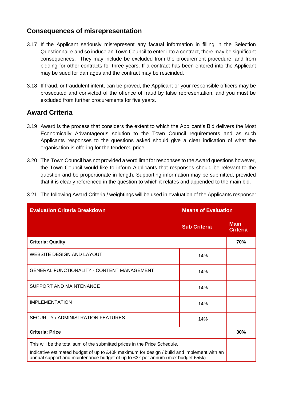#### **Consequences of misrepresentation**

- 3.17 If the Applicant seriously misrepresent any factual information in filling in the Selection Questionnaire and so induce an Town Council to enter into a contract, there may be significant consequences. They may include be excluded from the procurement procedure, and from bidding for other contracts for three years. If a contract has been entered into the Applicant may be sued for damages and the contract may be rescinded.
- 3.18 If fraud, or fraudulent intent, can be proved, the Applicant or your responsible officers may be prosecuted and convicted of the offence of fraud by false representation, and you must be excluded from further procurements for five years.

#### <span id="page-8-0"></span>**Award Criteria**

- 3.19 Award is the process that considers the extent to which the Applicant's Bid delivers the Most Economically Advantageous solution to the Town Council requirements and as such Applicants responses to the questions asked should give a clear indication of what the organisation is offering for the tendered price.
- 3.20 The Town Council has not provided a word limit for responses to the Award questions however, the Town Council would like to inform Applicants that responses should be relevant to the question and be proportionate in length. Supporting information may be submitted, provided that it is clearly referenced in the question to which it relates and appended to the main bid.

| <b>Evaluation Criteria Breakdown</b><br><b>Means of Evaluation</b>                                                                                                           |                     |                                |
|------------------------------------------------------------------------------------------------------------------------------------------------------------------------------|---------------------|--------------------------------|
|                                                                                                                                                                              | <b>Sub Criteria</b> | <b>Main</b><br><b>Criteria</b> |
| <b>Criteria: Quality</b>                                                                                                                                                     |                     | 70%                            |
| <b>WEBSITE DESIGN AND LAYOUT</b>                                                                                                                                             | 14%                 |                                |
| <b>GENERAL FUNCTIONALITY - CONTENT MANAGEMENT</b>                                                                                                                            | 14%                 |                                |
| SUPPORT AND MAINTENANCE                                                                                                                                                      | 14%                 |                                |
| <b>IMPLEMENTATION</b>                                                                                                                                                        | 14%                 |                                |
| SECURITY / ADMINISTRATION FEATURES                                                                                                                                           | 14%                 |                                |
| <b>Criteria: Price</b>                                                                                                                                                       |                     | 30%                            |
| This will be the total sum of the submitted prices in the Price Schedule.                                                                                                    |                     |                                |
| Indicative estimated budget of up to £40k maximum for design / build and implement with an<br>annual support and maintenance budget of up to £3k per annum (max budget £55k) |                     |                                |

3.21 The following Award Criteria / weightings will be used in evaluation of the Applicants response: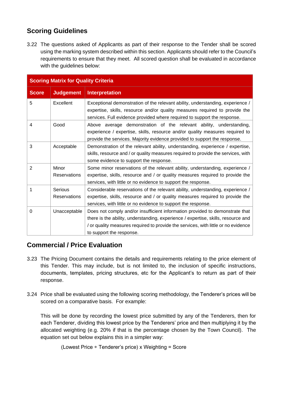# <span id="page-9-0"></span>**Scoring Guidelines**

3.22 The questions asked of Applicants as part of their response to the Tender shall be scored using the marking system described within this section. Applicants should refer to the Council's requirements to ensure that they meet. All scored question shall be evaluated in accordance with the guidelines below:

| <b>Scoring Matrix for Quality Criteria</b> |                                |                                                                                                                                                                                                                                                                                     |  |  |
|--------------------------------------------|--------------------------------|-------------------------------------------------------------------------------------------------------------------------------------------------------------------------------------------------------------------------------------------------------------------------------------|--|--|
| <b>Score</b>                               | <b>Judgement</b>               | <b>Interpretation</b>                                                                                                                                                                                                                                                               |  |  |
| 5                                          | Excellent                      | Exceptional demonstration of the relevant ability, understanding, experience /<br>expertise, skills, resource and/or quality measures required to provide the<br>services. Full evidence provided where required to support the response.                                           |  |  |
| $\overline{4}$                             | Good                           | Above average demonstration of the relevant ability, understanding,<br>experience / expertise, skills, resource and/or quality measures required to<br>provide the services. Majority evidence provided to support the response.                                                    |  |  |
| 3                                          | Acceptable                     | Demonstration of the relevant ability, understanding, experience / expertise,<br>skills, resource and / or quality measures required to provide the services, with<br>some evidence to support the response.                                                                        |  |  |
| 2                                          | Minor<br><b>Reservations</b>   | Some minor reservations of the relevant ability, understanding, experience /<br>expertise, skills, resource and / or quality measures required to provide the<br>services, with little or no evidence to support the response.                                                      |  |  |
| 1                                          | Serious<br><b>Reservations</b> | Considerable reservations of the relevant ability, understanding, experience /<br>expertise, skills, resource and / or quality measures required to provide the<br>services, with little or no evidence to support the response.                                                    |  |  |
| 0                                          | Unacceptable                   | Does not comply and/or insufficient information provided to demonstrate that<br>there is the ability, understanding, experience / expertise, skills, resource and<br>/ or quality measures required to provide the services, with little or no evidence<br>to support the response. |  |  |

# <span id="page-9-1"></span>**Commercial / Price Evaluation**

- 3.23 The Pricing Document contains the details and requirements relating to the price element of this Tender. This may include, but is not limited to, the inclusion of specific instructions, documents, templates, pricing structures, etc for the Applicant's to return as part of their response.
- 3.24 Price shall be evaluated using the following scoring methodology, the Tenderer's prices will be scored on a comparative basis. For example:

This will be done by recording the lowest price submitted by any of the Tenderers, then for each Tenderer, dividing this lowest price by the Tenderers' price and then multiplying it by the allocated weighting (e.g. 20% if that is the percentage chosen by the Town Council). The equation set out below explains this in a simpler way:

(Lowest Price ÷ Tenderer's price) x Weighting = Score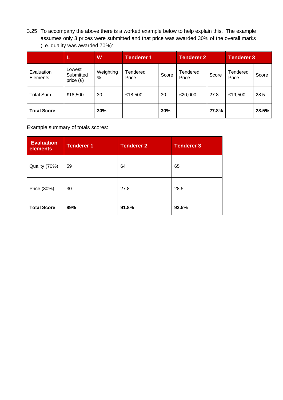3.25 To accompany the above there is a worked example below to help explain this. The example assumes only 3 prices were submitted and that price was awarded 30% of the overall marks (i.e. quality was awarded 70%):

|                        | ı.                                 | W                 | <b>Tenderer 1</b> |       | <b>Tenderer 2</b> |       | <b>Tenderer 3</b> |       |
|------------------------|------------------------------------|-------------------|-------------------|-------|-------------------|-------|-------------------|-------|
| Evaluation<br>Elements | Lowest<br>Submitted<br>price $(E)$ | Weighting<br>$\%$ | Tendered<br>Price | Score | Tendered<br>Price | Score | Tendered<br>Price | Score |
| <b>Total Sum</b>       | £18,500                            | 30                | £18,500           | 30    | £20,000           | 27.8  | £19,500           | 28.5  |
| <b>Total Score</b>     |                                    | 30%               |                   | 30%   |                   | 27.8% |                   | 28.5% |

Example summary of totals scores:

| <b>Evaluation</b><br>elements | <b>Tenderer 1</b> | <b>Tenderer 2</b> | <b>Tenderer 3</b> |
|-------------------------------|-------------------|-------------------|-------------------|
| Quality (70%)                 | 59                | 64                | 65                |
| Price (30%)                   | 30                | 27.8              | 28.5              |
| <b>Total Score</b>            | 89%               | 91.8%             | 93.5%             |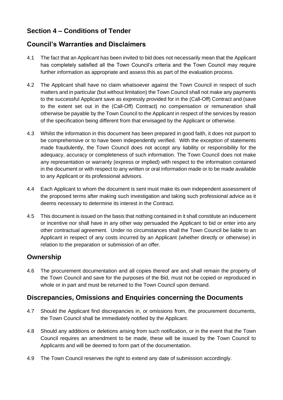# <span id="page-11-0"></span>**Section 4 – Conditions of Tender**

#### <span id="page-11-1"></span>**Council's Warranties and Disclaimers**

- 4.1 The fact that an Applicant has been invited to bid does not necessarily mean that the Applicant has completely satisfied all the Town Council's criteria and the Town Council may require further information as appropriate and assess this as part of the evaluation process.
- 4.2 The Applicant shall have no claim whatsoever against the Town Council in respect of such matters and in particular (but without limitation) the Town Council shall not make any payments to the successful Applicant save as expressly provided for in the (Call-Off) Contract and (save to the extent set out in the (Call-Off) Contract) no compensation or remuneration shall otherwise be payable by the Town Council to the Applicant in respect of the services by reason of the specification being different from that envisaged by the Applicant or otherwise.
- 4.3 Whilst the information in this document has been prepared in good faith, it does not purport to be comprehensive or to have been independently verified. With the exception of statements made fraudulently, the Town Council does not accept any liability or responsibility for the adequacy, accuracy or completeness of such information. The Town Council does not make any representation or warranty (express or implied) with respect to the information contained in the document or with respect to any written or oral information made or to be made available to any Applicant or its professional advisors.
- 4.4 Each Applicant to whom the document is sent must make its own independent assessment of the proposed terms after making such investigation and taking such professional advice as it deems necessary to determine its interest in the Contract.
- 4.5 This document is issued on the basis that nothing contained in it shall constitute an inducement or incentive nor shall have in any other way persuaded the Applicant to bid or enter into any other contractual agreement. Under no circumstances shall the Town Council be liable to an Applicant in respect of any costs incurred by an Applicant (whether directly or otherwise) in relation to the preparation or submission of an offer.

#### <span id="page-11-2"></span>**Ownership**

4.6 The procurement documentation and all copies thereof are and shall remain the property of the Town Council and save for the purposes of the Bid, must not be copied or reproduced in whole or in part and must be returned to the Town Council upon demand.

# <span id="page-11-3"></span>**Discrepancies, Omissions and Enquiries concerning the Documents**

- 4.7 Should the Applicant find discrepancies in, or omissions from, the procurement documents, the Town Council shall be immediately notified by the Applicant.
- 4.8 Should any additions or deletions arising from such notification, or in the event that the Town Council requires an amendment to be made, these will be issued by the Town Council to Applicants and will be deemed to form part of the documentation.
- 4.9 The Town Council reserves the right to extend any date of submission accordingly.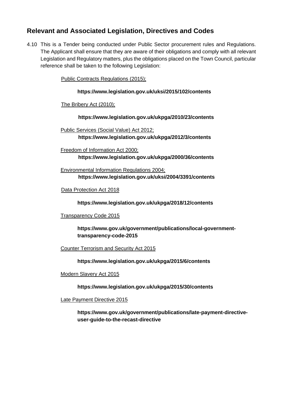### <span id="page-12-0"></span>**Relevant and Associated Legislation, Directives and Codes**

4.10 This is a Tender being conducted under Public Sector procurement rules and Regulations. The Applicant shall ensure that they are aware of their obligations and comply with all relevant Legislation and Regulatory matters, plus the obligations placed on the Town Council, particular reference shall be taken to the following Legislation:

Public Contracts Regulations (2015);

#### **https://www.legislation.gov.uk/uksi/2015/102/contents**

The Bribery Act (2010);

**<https://www.legislation.gov.uk/ukpga/2010/23/contents>**

Public Services (Social Value) Act 2012; **<https://www.legislation.gov.uk/ukpga/2012/3/contents>**

Freedom of Information Act 2000; **<https://www.legislation.gov.uk/ukpga/2000/36/contents>**

Environmental Information Regulations 2004; **https://www.legislation.gov.uk/uksi/2004/3391/contents**

Data Protection Act 2018

**https://www.legislation.gov.uk/ukpga/2018/12/contents**

Transparency Code 2015

**[https://www.gov.uk/government/publications/local-government](https://www.gov.uk/government/publications/local-government-transparency-code-2015)[transparency-code-2015](https://www.gov.uk/government/publications/local-government-transparency-code-2015)**

Counter Terrorism and Security Act 2015

**https://www.legislation.gov.uk/ukpga/2015/6/contents**

Modern Slavery Act 2015

**https://www.legislation.gov.uk/ukpga/2015/30/contents**

Late Payment Directive 2015

**https://www.gov.uk/government/publications/late-payment-directiveuser-guide-to-the-recast-directive**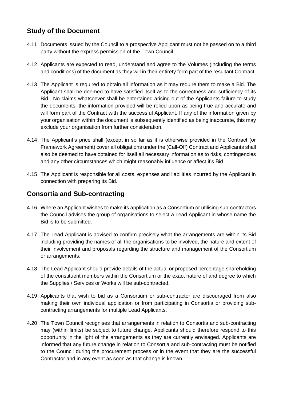# <span id="page-13-0"></span>**Study of the Document**

- 4.11 Documents issued by the Council to a prospective Applicant must not be passed on to a third party without the express permission of the Town Council.
- 4.12 Applicants are expected to read, understand and agree to the Volumes (including the terms and conditions) of the document as they will in their entirety form part of the resultant Contract.
- 4.13 The Applicant is required to obtain all information as it may require them to make a Bid. The Applicant shall be deemed to have satisfied itself as to the correctness and sufficiency of its Bid. No claims whatsoever shall be entertained arising out of the Applicants failure to study the documents; the information provided will be relied upon as being true and accurate and will form part of the Contract with the successful Applicant. If any of the information given by your organisation within the document is subsequently identified as being inaccurate, this may exclude your organisation from further consideration.
- 4.14 The Applicant's price shall (except in so far as it is otherwise provided in the Contract (or Framework Agreement) cover all obligations under the (Call-Off) Contract and Applicants shall also be deemed to have obtained for itself all necessary information as to risks, contingencies and any other circumstances which might reasonably influence or affect it's Bid.
- 4.15 The Applicant is responsible for all costs, expenses and liabilities incurred by the Applicant in connection with preparing its Bid.

## <span id="page-13-1"></span>**Consortia and Sub-contracting**

- 4.16 Where an Applicant wishes to make its application as a Consortium or utilising sub-contractors the Council advises the group of organisations to select a Lead Applicant in whose name the Bid is to be submitted.
- 4.17 The Lead Applicant is advised to confirm precisely what the arrangements are within its Bid including providing the names of all the organisations to be involved, the nature and extent of their involvement and proposals regarding the structure and management of the Consortium or arrangements.
- 4.18 The Lead Applicant should provide details of the actual or proposed percentage shareholding of the constituent members within the Consortium or the exact nature of and degree to which the Supplies / Services or Works will be sub-contracted.
- 4.19 Applicants that wish to bid as a Consortium or sub-contractor are discouraged from also making their own individual application or from participating in Consortia or providing subcontracting arrangements for multiple Lead Applicants.
- 4.20 The Town Council recognises that arrangements in relation to Consortia and sub-contracting may (within limits) be subject to future change. Applicants should therefore respond to this opportunity in the light of the arrangements as they are currently envisaged. Applicants are informed that any future change in relation to Consortia and sub-contracting must be notified to the Council during the procurement process or in the event that they are the successful Contractor and in any event as soon as that change is known.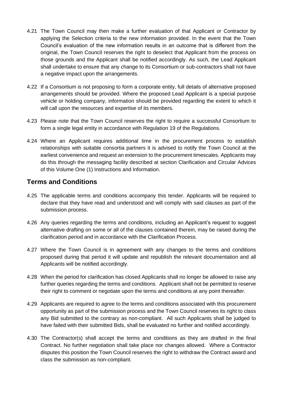- 4.21 The Town Council may then make a further evaluation of that Applicant or Contractor by applying the Selection criteria to the new information provided. In the event that the Town Council's evaluation of the new information results in an outcome that is different from the original, the Town Council reserves the right to deselect that Applicant from the process on those grounds and the Applicant shall be notified accordingly. As such, the Lead Applicant shall undertake to ensure that any change to its Consortium or sub-contractors shall not have a negative impact upon the arrangements.
- 4.22 If a Consortium is not proposing to form a corporate entity, full details of alternative proposed arrangements should be provided. Where the proposed Lead Applicant is a special purpose vehicle or holding company, information should be provided regarding the extent to which it will call upon the resources and expertise of its members.
- 4.23 Please note that the Town Council reserves the right to require a successful Consortium to form a single legal entity in accordance with Regulation 19 of the Regulations.
- 4.24 Where an Applicant requires additional time in the procurement process to establish relationships with suitable consortia partners it is advised to notify the Town Council at the earliest convenience and request an extension to the procurement timescales. Applicants may do this through the messaging facility described at section [Clarification and Circular Advices](#page-15-0) of this Volume One (1) Instructions and Information.

#### <span id="page-14-0"></span>**Terms and Conditions**

- 4.25 The applicable terms and conditions accompany this tender. Applicants will be required to declare that they have read and understood and will comply with said clauses as part of the submission process.
- 4.26 Any queries regarding the terms and conditions, including an Applicant's request to suggest alternative drafting on some or all of the clauses contained therein, may be raised during the clarification period and in accordance with the Clarification Process.
- 4.27 Where the Town Council is in agreement with any changes to the terms and conditions proposed during that period it will update and republish the relevant documentation and all Applicants will be notified accordingly.
- 4.28 When the period for clarification has closed Applicants shall no longer be allowed to raise any further queries regarding the terms and conditions. Applicant shall not be permitted to reserve their right to comment or negotiate upon the terms and conditions at any point thereafter.
- 4.29 Applicants are required to agree to the terms and conditions associated with this procurement opportunity as part of the submission process and the Town Council reserves its right to class any Bid submitted to the contrary as non-compliant. All such Applicants shall be judged to have failed with their submitted Bids, shall be evaluated no further and notified accordingly.
- 4.30 The Contractor(s) shall accept the terms and conditions as they are drafted in the final Contract. No further negotiation shall take place nor changes allowed. Where a Contractor disputes this position the Town Council reserves the right to withdraw the Contract award and class the submission as non-compliant.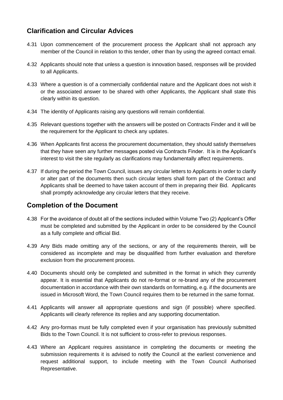## <span id="page-15-0"></span>**Clarification and Circular Advices**

- 4.31 Upon commencement of the procurement process the Applicant shall not approach any member of the Council in relation to this tender, other than by using the agreed contact email.
- 4.32 Applicants should note that unless a question is innovation based, responses will be provided to all Applicants.
- 4.33 Where a question is of a commercially confidential nature and the Applicant does not wish it or the associated answer to be shared with other Applicants, the Applicant shall state this clearly within its question.
- 4.34 The identity of Applicants raising any questions will remain confidential.
- 4.35 Relevant questions together with the answers will be posted on Contracts Finder and it will be the requirement for the Applicant to check any updates.
- 4.36 When Applicants first access the procurement documentation, they should satisfy themselves that they have seen any further messages posted via Contracts Finder. It is in the Applicant's interest to visit the site regularly as clarifications may fundamentally affect requirements.
- 4.37 If during the period the Town Council, issues any circular letters to Applicants in order to clarify or alter part of the documents then such circular letters shall form part of the Contract and Applicants shall be deemed to have taken account of them in preparing their Bid. Applicants shall promptly acknowledge any circular letters that they receive.

#### <span id="page-15-1"></span>**Completion of the Document**

- 4.38 For the avoidance of doubt all of the sections included within Volume Two (2) Applicant's Offer must be completed and submitted by the Applicant in order to be considered by the Council as a fully complete and official Bid.
- 4.39 Any Bids made omitting any of the sections, or any of the requirements therein, will be considered as incomplete and may be disqualified from further evaluation and therefore exclusion from the procurement process.
- 4.40 Documents should only be completed and submitted in the format in which they currently appear. It is essential that Applicants do not re-format or re-brand any of the procurement documentation in accordance with their own standards on formatting, e.g. if the documents are issued in Microsoft Word, the Town Council requires them to be returned in the same format.
- 4.41 Applicants will answer all appropriate questions and sign (if possible) where specified. Applicants will clearly reference its replies and any supporting documentation.
- 4.42 Any pro-formas must be fully completed even if your organisation has previously submitted Bids to the Town Council. It is not sufficient to cross-refer to previous responses.
- 4.43 Where an Applicant requires assistance in completing the documents or meeting the submission requirements it is advised to notify the Council at the earliest convenience and request additional support, to include meeting with the Town Council Authorised Representative.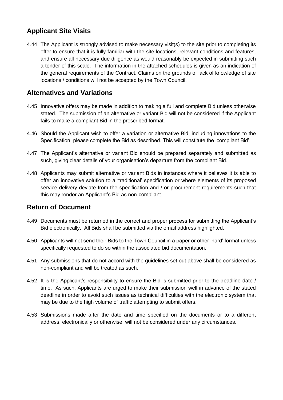# <span id="page-16-0"></span>**Applicant Site Visits**

4.44 The Applicant is strongly advised to make necessary visit(s) to the site prior to completing its offer to ensure that it is fully familiar with the site locations, relevant conditions and features, and ensure all necessary due diligence as would reasonably be expected in submitting such a tender of this scale. The information in the attached schedules is given as an indication of the general requirements of the Contract. Claims on the grounds of lack of knowledge of site locations / conditions will not be accepted by the Town Council.

## <span id="page-16-1"></span>**Alternatives and Variations**

- 4.45 Innovative offers may be made in addition to making a full and complete Bid unless otherwise stated. The submission of an alternative or variant Bid will not be considered if the Applicant fails to make a compliant Bid in the prescribed format.
- 4.46 Should the Applicant wish to offer a variation or alternative Bid, including innovations to the Specification, please complete the Bid as described. This will constitute the 'compliant Bid'.
- 4.47 The Applicant's alternative or variant Bid should be prepared separately and submitted as such, giving clear details of your organisation's departure from the compliant Bid.
- 4.48 Applicants may submit alternative or variant Bids in instances where it believes it is able to offer an innovative solution to a 'traditional' specification or where elements of its proposed service delivery deviate from the specification and / or procurement requirements such that this may render an Applicant's Bid as non-compliant.

#### <span id="page-16-2"></span>**Return of Document**

- 4.49 Documents must be returned in the correct and proper process for submitting the Applicant's Bid electronically. All Bids shall be submitted via the email address highlighted.
- 4.50 Applicants will not send their Bids to the Town Council in a paper or other 'hard' format unless specifically requested to do so within the associated bid documentation.
- 4.51 Any submissions that do not accord with the guidelines set out above shall be considered as non-compliant and will be treated as such.
- 4.52 It is the Applicant's responsibility to ensure the Bid is submitted prior to the deadline date / time. As such, Applicants are urged to make their submission well in advance of the stated deadline in order to avoid such issues as technical difficulties with the electronic system that may be due to the high volume of traffic attempting to submit offers.
- 4.53 Submissions made after the date and time specified on the documents or to a different address, electronically or otherwise, will not be considered under any circumstances.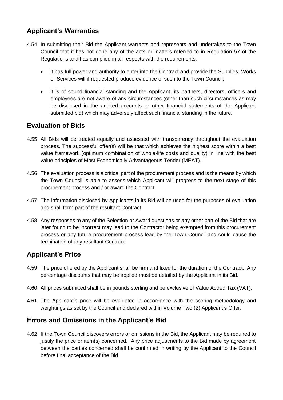# <span id="page-17-0"></span>**Applicant's Warranties**

- 4.54 In submitting their Bid the Applicant warrants and represents and undertakes to the Town Council that it has not done any of the acts or matters referred to in Regulation 57 of the Regulations and has complied in all respects with the requirements;
	- it has full power and authority to enter into the Contract and provide the Supplies, Works or Services will if requested produce evidence of such to the Town Council;
	- it is of sound financial standing and the Applicant, its partners, directors, officers and employees are not aware of any circumstances (other than such circumstances as may be disclosed in the audited accounts or other financial statements of the Applicant submitted bid) which may adversely affect such financial standing in the future.

# <span id="page-17-1"></span>**Evaluation of Bids**

- 4.55 All Bids will be treated equally and assessed with transparency throughout the evaluation process. The successful offer(s) will be that which achieves the highest score within a best value framework (optimum combination of whole-life costs and quality) in line with the best value principles of Most Economically Advantageous Tender (MEAT).
- 4.56 The evaluation process is a critical part of the procurement process and is the means by which the Town Council is able to assess which Applicant will progress to the next stage of this procurement process and / or award the Contract.
- 4.57 The information disclosed by Applicants in its Bid will be used for the purposes of evaluation and shall form part of the resultant Contract.
- 4.58 Any responses to any of the Selection or Award questions or any other part of the Bid that are later found to be incorrect may lead to the Contractor being exempted from this procurement process or any future procurement process lead by the Town Council and could cause the termination of any resultant Contract.

# <span id="page-17-2"></span>**Applicant's Price**

- 4.59 The price offered by the Applicant shall be firm and fixed for the duration of the Contract. Any percentage discounts that may be applied must be detailed by the Applicant in its Bid.
- 4.60 All prices submitted shall be in pounds sterling and be exclusive of Value Added Tax (VAT).
- 4.61 The Applicant's price will be evaluated in accordance with the scoring methodology and weightings as set by the Council and declared within Volume Two (2) Applicant's Offer.

# <span id="page-17-3"></span>**Errors and Omissions in the Applicant's Bid**

4.62 If the Town Council discovers errors or omissions in the Bid, the Applicant may be required to justify the price or item(s) concerned. Any price adjustments to the Bid made by agreement between the parties concerned shall be confirmed in writing by the Applicant to the Council before final acceptance of the Bid.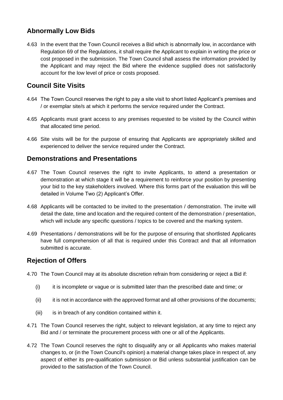# <span id="page-18-0"></span>**Abnormally Low Bids**

4.63 In the event that the Town Council receives a Bid which is abnormally low, in accordance with Regulation 69 of the Regulations, it shall require the Applicant to explain in writing the price or cost proposed in the submission. The Town Council shall assess the information provided by the Applicant and may reject the Bid where the evidence supplied does not satisfactorily account for the low level of price or costs proposed.

# <span id="page-18-1"></span>**Council Site Visits**

- 4.64 The Town Council reserves the right to pay a site visit to short listed Applicant's premises and / or exemplar site/s at which it performs the service required under the Contract.
- 4.65 Applicants must grant access to any premises requested to be visited by the Council within that allocated time period.
- 4.66 Site visits will be for the purpose of ensuring that Applicants are appropriately skilled and experienced to deliver the service required under the Contract.

#### <span id="page-18-2"></span>**Demonstrations and Presentations**

- 4.67 The Town Council reserves the right to invite Applicants, to attend a presentation or demonstration at which stage it will be a requirement to reinforce your position by presenting your bid to the key stakeholders involved. Where this forms part of the evaluation this will be detailed in Volume Two (2) Applicant's Offer.
- 4.68 Applicants will be contacted to be invited to the presentation / demonstration. The invite will detail the date, time and location and the required content of the demonstration / presentation, which will include any specific questions / topics to be covered and the marking system.
- 4.69 Presentations / demonstrations will be for the purpose of ensuring that shortlisted Applicants have full comprehension of all that is required under this Contract and that all information submitted is accurate.

# <span id="page-18-3"></span>**Rejection of Offers**

- 4.70 The Town Council may at its absolute discretion refrain from considering or reject a Bid if:
	- (i) it is incomplete or vague or is submitted later than the prescribed date and time; or
	- (ii) it is not in accordance with the approved format and all other provisions of the documents;
	- (iii) is in breach of any condition contained within it.
- 4.71 The Town Council reserves the right, subject to relevant legislation, at any time to reject any Bid and / or terminate the procurement process with one or all of the Applicants.
- 4.72 The Town Council reserves the right to disqualify any or all Applicants who makes material changes to, or (in the Town Council's opinion) a material change takes place in respect of, any aspect of either its pre-qualification submission or Bid unless substantial justification can be provided to the satisfaction of the Town Council.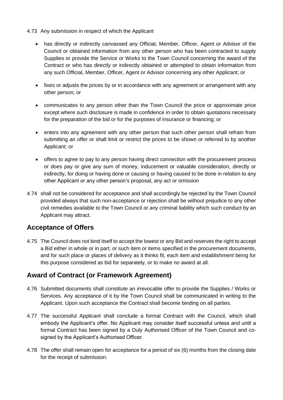#### 4.73 Any submission in respect of which the Applicant

- has directly or indirectly canvassed any Official, Member, Officer, Agent or Advisor of the Council or obtained information from any other person who has been contracted to supply Supplies or provide the Service or Works to the Town Council concerning the award of the Contract or who has directly or indirectly obtained or attempted to obtain information from any such Official, Member, Officer, Agent or Advisor concerning any other Applicant; or
- fixes or adjusts the prices by or in accordance with any agreement or arrangement with any other person; or
- communicates to any person other than the Town Council the price or approximate price except where such disclosure is made in confidence in order to obtain quotations necessary for the preparation of the bid or for the purposes of insurance or financing; or
- enters into any agreement with any other person that such other person shall refrain from submitting an offer or shall limit or restrict the prices to be shown or referred to by another Applicant; or
- offers to agree to pay to any person having direct connection with the procurement process or does pay or give any sum of money, inducement or valuable consideration, directly or indirectly, for doing or having done or causing or having caused to be done in relation to any other Applicant or any other person's proposal, any act or omission
- 4.74 shall not be considered for acceptance and shall accordingly be rejected by the Town Council provided always that such non-acceptance or rejection shall be without prejudice to any other civil remedies available to the Town Council or any criminal liability which such conduct by an Applicant may attract.

#### <span id="page-19-0"></span>**Acceptance of Offers**

4.75 The Council does not bind itself to accept the lowest or any Bid and reserves the right to accept a Bid either in whole or in part, or such item or items specified in the procurement documents, and for such place or places of delivery as it thinks fit, each item and establishment being for this purpose considered as bid for separately, or to make no award at all.

#### <span id="page-19-1"></span>**Award of Contract (or Framework Agreement)**

- 4.76 Submitted documents shall constitute an irrevocable offer to provide the Supplies / Works or Services. Any acceptance of it by the Town Council shall be communicated in writing to the Applicant. Upon such acceptance the Contract shall become binding on all parties.
- 4.77 The successful Applicant shall conclude a formal Contract with the Council, which shall embody the Applicant's offer. No Applicant may consider itself successful unless and until a formal Contract has been signed by a Duly Authorised Officer of the Town Council and cosigned by the Applicant's Authorised Officer.
- 4.78 The offer shall remain open for acceptance for a period of six (6) months from the closing date for the receipt of submission.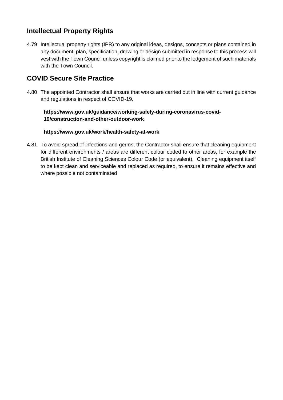# <span id="page-20-0"></span>**Intellectual Property Rights**

4.79 Intellectual property rights (IPR) to any original ideas, designs, concepts or plans contained in any document, plan, specification, drawing or design submitted in response to this process will vest with the Town Council unless copyright is claimed prior to the lodgement of such materials with the Town Council.

## **COVID Secure Site Practice**

4.80 The appointed Contractor shall ensure that works are carried out in line with current guidance and regulations in respect of COVID-19.

#### **[https://www.gov.uk/guidance/working-safely-during-coronavirus-covid-](https://www.gov.uk/guidance/working-safely-during-coronavirus-covid-19/construction-and-other-outdoor-work)[19/construction-and-other-outdoor-work](https://www.gov.uk/guidance/working-safely-during-coronavirus-covid-19/construction-and-other-outdoor-work)**

#### **<https://www.gov.uk/work/health-safety-at-work>**

4.81 To avoid spread of infections and germs, the Contractor shall ensure that cleaning equipment for different environments / areas are different colour coded to other areas, for example the British Institute of Cleaning Sciences Colour Code (or equivalent). Cleaning equipment itself to be kept clean and serviceable and replaced as required, to ensure it remains effective and where possible not contaminated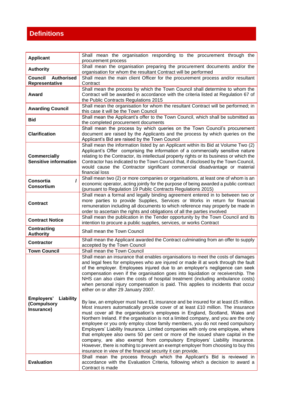# <span id="page-21-0"></span>**Definitions**

| <b>Applicant</b>                                     | Shall mean the organisation responding to the procurement through the<br>procurement process                                                                                                                                                                                                                                                                                                                                                                                                                                                                                                                                                                                                                                                                                                                                       |
|------------------------------------------------------|------------------------------------------------------------------------------------------------------------------------------------------------------------------------------------------------------------------------------------------------------------------------------------------------------------------------------------------------------------------------------------------------------------------------------------------------------------------------------------------------------------------------------------------------------------------------------------------------------------------------------------------------------------------------------------------------------------------------------------------------------------------------------------------------------------------------------------|
| <b>Authority</b>                                     | Shall mean the organisation preparing the procurement documents and/or the<br>organisation for whom the resultant Contract will be performed                                                                                                                                                                                                                                                                                                                                                                                                                                                                                                                                                                                                                                                                                       |
| Council<br><b>Authorised</b><br>Representative       | Shall mean the main client Officer for the procurement process and/or resultant<br>Contract                                                                                                                                                                                                                                                                                                                                                                                                                                                                                                                                                                                                                                                                                                                                        |
| Award                                                | Shall mean the process by which the Town Council shall determine to whom the<br>Contract will be awarded in accordance with the criteria listed at Regulation 67 of<br>the Public Contracts Regulations 2015                                                                                                                                                                                                                                                                                                                                                                                                                                                                                                                                                                                                                       |
| <b>Awarding Council</b>                              | Shall mean the organisation for whom the resultant Contract will be performed; in<br>this case it will be the Town Council                                                                                                                                                                                                                                                                                                                                                                                                                                                                                                                                                                                                                                                                                                         |
| <b>Bid</b>                                           | Shall mean the Applicant's offer to the Town Council, which shall be submitted as<br>the completed procurement documents                                                                                                                                                                                                                                                                                                                                                                                                                                                                                                                                                                                                                                                                                                           |
| <b>Clarification</b>                                 | Shall mean the process by which queries on the Town Council's procurement<br>document are raised by the Applicants and the process by which queries on the<br>Applicant's Bid are raised by the Town Council                                                                                                                                                                                                                                                                                                                                                                                                                                                                                                                                                                                                                       |
| <b>Commercially</b><br><b>Sensitive information</b>  | Shall mean the information listed by an Applicant within its Bid at Volume Two (2)<br>Applicant's Offer comprising the information of a commercially sensitive nature<br>relating to the Contractor, its intellectual property rights or its business or which the<br>Contractor has indicated to the Town Council that, if disclosed by the Town Council,<br>would cause the Contractor significant commercial disadvantage or material<br>financial loss                                                                                                                                                                                                                                                                                                                                                                         |
| <b>Consortia</b><br><b>Consortium</b>                | Shall mean two (2) or more companies or organisations, at least one of whom is an<br>economic operator, acting jointly for the purpose of being awarded a public contract<br>(pursuant to Regulation 19 Public Contracts Regulations 2015)                                                                                                                                                                                                                                                                                                                                                                                                                                                                                                                                                                                         |
| <b>Contract</b>                                      | Shall mean a formal and legally binding agreement entered in to between two or<br>more parties to provide Supplies, Services or Works in return for financial<br>remuneration including all documents to which reference may properly be made in<br>order to ascertain the rights and obligations of all the parties involved                                                                                                                                                                                                                                                                                                                                                                                                                                                                                                      |
| <b>Contract Notice</b>                               | Shall mean the publication in the Tender opportunity by the Town Council and its<br>intention to procure a public supplies, services, or works Contract                                                                                                                                                                                                                                                                                                                                                                                                                                                                                                                                                                                                                                                                            |
| <b>Contracting</b><br><b>Authority</b>               | Shall mean the Town Council                                                                                                                                                                                                                                                                                                                                                                                                                                                                                                                                                                                                                                                                                                                                                                                                        |
| <b>Contractor</b>                                    | Shall mean the Applicant awarded the Contract culminating from an offer to supply<br>accepted by the Town Council                                                                                                                                                                                                                                                                                                                                                                                                                                                                                                                                                                                                                                                                                                                  |
| <b>Town Council</b>                                  | Shall mean the Town Council                                                                                                                                                                                                                                                                                                                                                                                                                                                                                                                                                                                                                                                                                                                                                                                                        |
|                                                      | Shall mean an insurance that enables organisations to meet the costs of damages<br>and legal fees for employees who are injured or made ill at work through the fault<br>of the employer. Employees injured due to an employer's negligence can seek<br>compensation even if the organisation goes into liquidation or receivership. The<br>NHS can also claim the costs of hospital treatment (including ambulance costs)<br>when personal injury compensation is paid. This applies to incidents that occur<br>either on or after 29 January 2007.                                                                                                                                                                                                                                                                               |
| Employers'<br>Liability<br>(Compulsory<br>Insurance) | By law, an employer must have EL insurance and be insured for at least £5 million.<br>Most insurers automatically provide cover of at least £10 million. The insurance<br>must cover all the organisation's employees in England, Scotland, Wales and<br>Northern Ireland. If the organisation is not a limited company, and you are the only<br>employee or you only employ close family members, you do not need compulsory<br>Employers' Liability Insurance. Limited companies with only one employee, where<br>that employee also owns 50 per cent or more of the issued share capital in the<br>company, are also exempt from compulsory Employers' Liability Insurance.<br>However, there is nothing to prevent an exempt employer from choosing to buy this<br>insurance in view of the financial security it can provide. |
| <b>Evaluation</b>                                    | Shall mean the process through which the Applicant's Bid is reviewed in<br>accordance with the Evaluation Criteria, following which a decision to award a<br>Contract is made                                                                                                                                                                                                                                                                                                                                                                                                                                                                                                                                                                                                                                                      |